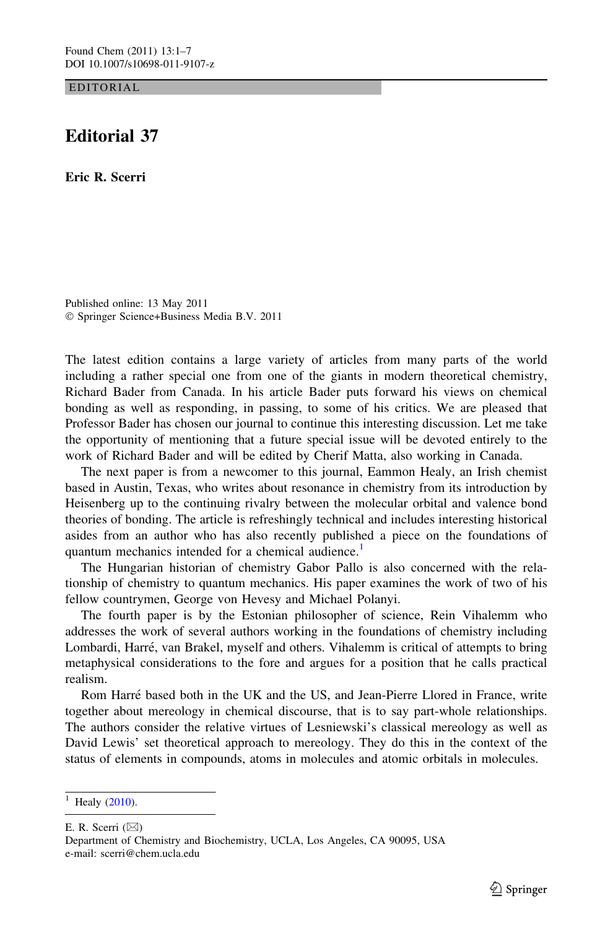EDITORIAL

## Editorial 37

Eric R. Scerri

Published online: 13 May 2011 - Springer Science+Business Media B.V. 2011

The latest edition contains a large variety of articles from many parts of the world including a rather special one from one of the giants in modern theoretical chemistry, Richard Bader from Canada. In his article Bader puts forward his views on chemical bonding as well as responding, in passing, to some of his critics. We are pleased that Professor Bader has chosen our journal to continue this interesting discussion. Let me take the opportunity of mentioning that a future special issue will be devoted entirely to the work of Richard Bader and will be edited by Cherif Matta, also working in Canada.

The next paper is from a newcomer to this journal, Eammon Healy, an Irish chemist based in Austin, Texas, who writes about resonance in chemistry from its introduction by Heisenberg up to the continuing rivalry between the molecular orbital and valence bond theories of bonding. The article is refreshingly technical and includes interesting historical asides from an author who has also recently published a piece on the foundations of quantum mechanics intended for a chemical audience.<sup>1</sup>

The Hungarian historian of chemistry Gabor Pallo is also concerned with the relationship of chemistry to quantum mechanics. His paper examines the work of two of his fellow countrymen, George von Hevesy and Michael Polanyi.

The fourth paper is by the Estonian philosopher of science, Rein Vihalemm who addresses the work of several authors working in the foundations of chemistry including Lombardi, Harré, van Brakel, myself and others. Vihalemm is critical of attempts to bring metaphysical considerations to the fore and argues for a position that he calls practical realism.

Rom Harré based both in the UK and the US, and Jean-Pierre Llored in France, write together about mereology in chemical discourse, that is to say part-whole relationships. The authors consider the relative virtues of Lesniewski's classical mereology as well as David Lewis' set theoretical approach to mereology. They do this in the context of the status of elements in compounds, atoms in molecules and atomic orbitals in molecules.

E. R. Scerri  $(\boxtimes)$ 

Department of Chemistry and Biochemistry, UCLA, Los Angeles, CA 90095, USA e-mail: scerri@chem.ucla.edu

Healy [\(2010\)](#page-6-0).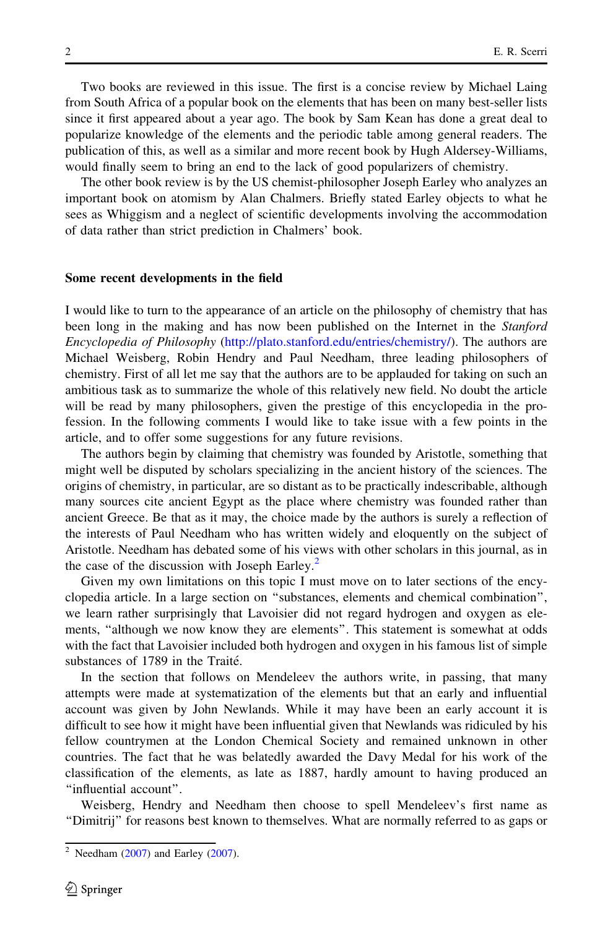Two books are reviewed in this issue. The first is a concise review by Michael Laing from South Africa of a popular book on the elements that has been on many best-seller lists since it first appeared about a year ago. The book by Sam Kean has done a great deal to popularize knowledge of the elements and the periodic table among general readers. The publication of this, as well as a similar and more recent book by Hugh Aldersey-Williams, would finally seem to bring an end to the lack of good popularizers of chemistry.

The other book review is by the US chemist-philosopher Joseph Earley who analyzes an important book on atomism by Alan Chalmers. Briefly stated Earley objects to what he sees as Whiggism and a neglect of scientific developments involving the accommodation of data rather than strict prediction in Chalmers' book.

## Some recent developments in the field

I would like to turn to the appearance of an article on the philosophy of chemistry that has been long in the making and has now been published on the Internet in the *Stanford* Encyclopedia of Philosophy [\(http://plato.stanford.edu/entries/chemistry/](http://plato.stanford.edu/entries/chemistry/)). The authors are Michael Weisberg, Robin Hendry and Paul Needham, three leading philosophers of chemistry. First of all let me say that the authors are to be applauded for taking on such an ambitious task as to summarize the whole of this relatively new field. No doubt the article will be read by many philosophers, given the prestige of this encyclopedia in the profession. In the following comments I would like to take issue with a few points in the article, and to offer some suggestions for any future revisions.

The authors begin by claiming that chemistry was founded by Aristotle, something that might well be disputed by scholars specializing in the ancient history of the sciences. The origins of chemistry, in particular, are so distant as to be practically indescribable, although many sources cite ancient Egypt as the place where chemistry was founded rather than ancient Greece. Be that as it may, the choice made by the authors is surely a reflection of the interests of Paul Needham who has written widely and eloquently on the subject of Aristotle. Needham has debated some of his views with other scholars in this journal, as in the case of the discussion with Joseph Earley.<sup>2</sup>

Given my own limitations on this topic I must move on to later sections of the encyclopedia article. In a large section on ''substances, elements and chemical combination'', we learn rather surprisingly that Lavoisier did not regard hydrogen and oxygen as elements, "although we now know they are elements". This statement is somewhat at odds with the fact that Lavoisier included both hydrogen and oxygen in his famous list of simple substances of 1789 in the Traité.

In the section that follows on Mendeleev the authors write, in passing, that many attempts were made at systematization of the elements but that an early and influential account was given by John Newlands. While it may have been an early account it is difficult to see how it might have been influential given that Newlands was ridiculed by his fellow countrymen at the London Chemical Society and remained unknown in other countries. The fact that he was belatedly awarded the Davy Medal for his work of the classification of the elements, as late as 1887, hardly amount to having produced an ''influential account''.

Weisberg, Hendry and Needham then choose to spell Mendeleev's first name as ''Dimitrij'' for reasons best known to themselves. What are normally referred to as gaps or

Needham ([2007](#page-6-0)) and Earley [\(2007](#page-6-0)).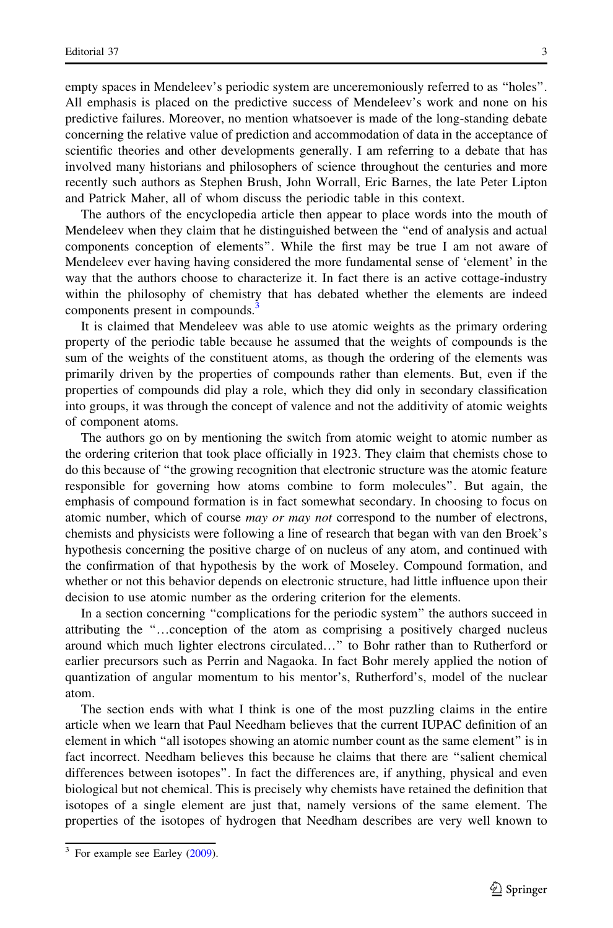empty spaces in Mendeleev's periodic system are unceremoniously referred to as ''holes''. All emphasis is placed on the predictive success of Mendeleev's work and none on his predictive failures. Moreover, no mention whatsoever is made of the long-standing debate concerning the relative value of prediction and accommodation of data in the acceptance of scientific theories and other developments generally. I am referring to a debate that has involved many historians and philosophers of science throughout the centuries and more recently such authors as Stephen Brush, John Worrall, Eric Barnes, the late Peter Lipton and Patrick Maher, all of whom discuss the periodic table in this context.

The authors of the encyclopedia article then appear to place words into the mouth of Mendeleev when they claim that he distinguished between the ''end of analysis and actual components conception of elements''. While the first may be true I am not aware of Mendeleev ever having having considered the more fundamental sense of 'element' in the way that the authors choose to characterize it. In fact there is an active cottage-industry within the philosophy of chemistry that has debated whether the elements are indeed components present in compounds.<sup>3</sup>

It is claimed that Mendeleev was able to use atomic weights as the primary ordering property of the periodic table because he assumed that the weights of compounds is the sum of the weights of the constituent atoms, as though the ordering of the elements was primarily driven by the properties of compounds rather than elements. But, even if the properties of compounds did play a role, which they did only in secondary classification into groups, it was through the concept of valence and not the additivity of atomic weights of component atoms.

The authors go on by mentioning the switch from atomic weight to atomic number as the ordering criterion that took place officially in 1923. They claim that chemists chose to do this because of ''the growing recognition that electronic structure was the atomic feature responsible for governing how atoms combine to form molecules''. But again, the emphasis of compound formation is in fact somewhat secondary. In choosing to focus on atomic number, which of course *may or may not* correspond to the number of electrons, chemists and physicists were following a line of research that began with van den Broek's hypothesis concerning the positive charge of on nucleus of any atom, and continued with the confirmation of that hypothesis by the work of Moseley. Compound formation, and whether or not this behavior depends on electronic structure, had little influence upon their decision to use atomic number as the ordering criterion for the elements.

In a section concerning ''complications for the periodic system'' the authors succeed in attributing the ''…conception of the atom as comprising a positively charged nucleus around which much lighter electrons circulated…'' to Bohr rather than to Rutherford or earlier precursors such as Perrin and Nagaoka. In fact Bohr merely applied the notion of quantization of angular momentum to his mentor's, Rutherford's, model of the nuclear atom.

The section ends with what I think is one of the most puzzling claims in the entire article when we learn that Paul Needham believes that the current IUPAC definition of an element in which "all isotopes showing an atomic number count as the same element" is in fact incorrect. Needham believes this because he claims that there are ''salient chemical differences between isotopes''. In fact the differences are, if anything, physical and even biological but not chemical. This is precisely why chemists have retained the definition that isotopes of a single element are just that, namely versions of the same element. The properties of the isotopes of hydrogen that Needham describes are very well known to

 $3$  For example see Earley [\(2009](#page-6-0)).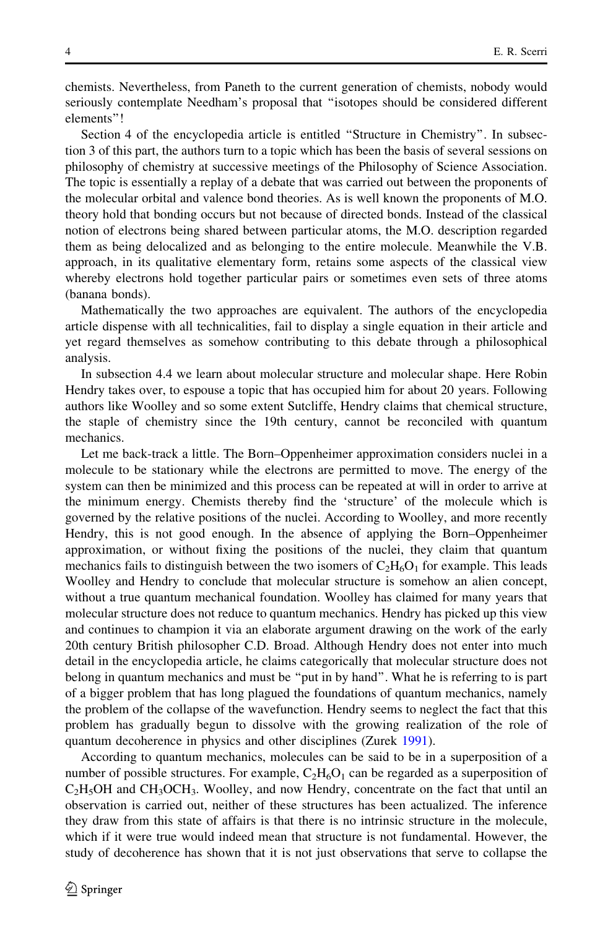chemists. Nevertheless, from Paneth to the current generation of chemists, nobody would seriously contemplate Needham's proposal that ''isotopes should be considered different elements''!

Section 4 of the encyclopedia article is entitled ''Structure in Chemistry''. In subsection 3 of this part, the authors turn to a topic which has been the basis of several sessions on philosophy of chemistry at successive meetings of the Philosophy of Science Association. The topic is essentially a replay of a debate that was carried out between the proponents of the molecular orbital and valence bond theories. As is well known the proponents of M.O. theory hold that bonding occurs but not because of directed bonds. Instead of the classical notion of electrons being shared between particular atoms, the M.O. description regarded them as being delocalized and as belonging to the entire molecule. Meanwhile the V.B. approach, in its qualitative elementary form, retains some aspects of the classical view whereby electrons hold together particular pairs or sometimes even sets of three atoms (banana bonds).

Mathematically the two approaches are equivalent. The authors of the encyclopedia article dispense with all technicalities, fail to display a single equation in their article and yet regard themselves as somehow contributing to this debate through a philosophical analysis.

In subsection 4.4 we learn about molecular structure and molecular shape. Here Robin Hendry takes over, to espouse a topic that has occupied him for about 20 years. Following authors like Woolley and so some extent Sutcliffe, Hendry claims that chemical structure, the staple of chemistry since the 19th century, cannot be reconciled with quantum mechanics.

Let me back-track a little. The Born–Oppenheimer approximation considers nuclei in a molecule to be stationary while the electrons are permitted to move. The energy of the system can then be minimized and this process can be repeated at will in order to arrive at the minimum energy. Chemists thereby find the 'structure' of the molecule which is governed by the relative positions of the nuclei. According to Woolley, and more recently Hendry, this is not good enough. In the absence of applying the Born–Oppenheimer approximation, or without fixing the positions of the nuclei, they claim that quantum mechanics fails to distinguish between the two isomers of  $C_2H_6O_1$  for example. This leads Woolley and Hendry to conclude that molecular structure is somehow an alien concept, without a true quantum mechanical foundation. Woolley has claimed for many years that molecular structure does not reduce to quantum mechanics. Hendry has picked up this view and continues to champion it via an elaborate argument drawing on the work of the early 20th century British philosopher C.D. Broad. Although Hendry does not enter into much detail in the encyclopedia article, he claims categorically that molecular structure does not belong in quantum mechanics and must be ''put in by hand''. What he is referring to is part of a bigger problem that has long plagued the foundations of quantum mechanics, namely the problem of the collapse of the wavefunction. Hendry seems to neglect the fact that this problem has gradually begun to dissolve with the growing realization of the role of quantum decoherence in physics and other disciplines (Zurek [1991\)](#page-6-0).

According to quantum mechanics, molecules can be said to be in a superposition of a number of possible structures. For example,  $C_2H_6O_1$  can be regarded as a superposition of  $C_2H_5OH$  and  $CH_3OCH_3$ . Woolley, and now Hendry, concentrate on the fact that until an observation is carried out, neither of these structures has been actualized. The inference they draw from this state of affairs is that there is no intrinsic structure in the molecule, which if it were true would indeed mean that structure is not fundamental. However, the study of decoherence has shown that it is not just observations that serve to collapse the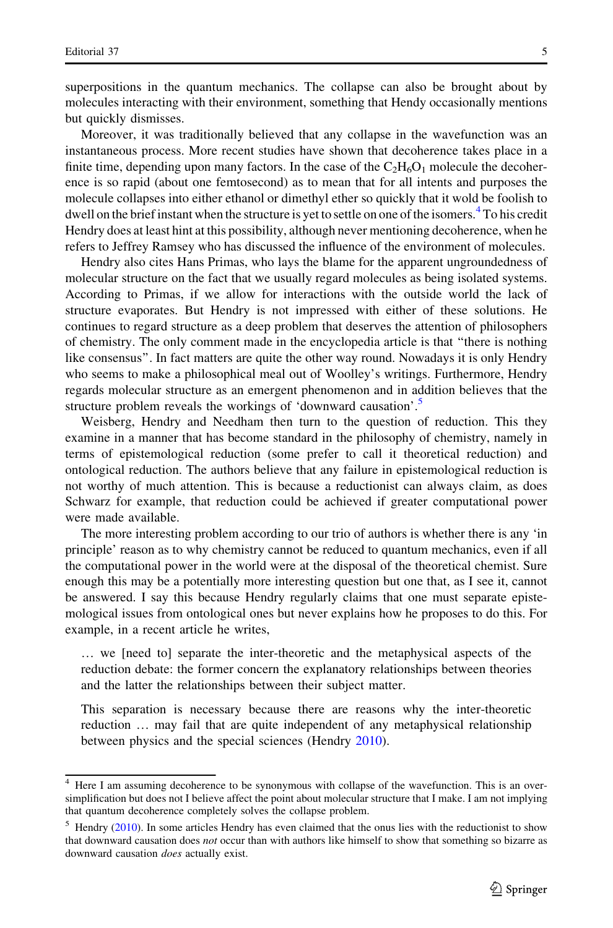superpositions in the quantum mechanics. The collapse can also be brought about by molecules interacting with their environment, something that Hendy occasionally mentions but quickly dismisses.

Moreover, it was traditionally believed that any collapse in the wavefunction was an instantaneous process. More recent studies have shown that decoherence takes place in a finite time, depending upon many factors. In the case of the  $C_2H_6O_1$  molecule the decoherence is so rapid (about one femtosecond) as to mean that for all intents and purposes the molecule collapses into either ethanol or dimethyl ether so quickly that it wold be foolish to dwell on the brief instant when the structure is yet to settle on one of the isomers.<sup>4</sup>To his credit Hendry does at least hint at this possibility, although never mentioning decoherence, when he refers to Jeffrey Ramsey who has discussed the influence of the environment of molecules.

Hendry also cites Hans Primas, who lays the blame for the apparent ungroundedness of molecular structure on the fact that we usually regard molecules as being isolated systems. According to Primas, if we allow for interactions with the outside world the lack of structure evaporates. But Hendry is not impressed with either of these solutions. He continues to regard structure as a deep problem that deserves the attention of philosophers of chemistry. The only comment made in the encyclopedia article is that ''there is nothing like consensus''. In fact matters are quite the other way round. Nowadays it is only Hendry who seems to make a philosophical meal out of Woolley's writings. Furthermore, Hendry regards molecular structure as an emergent phenomenon and in addition believes that the structure problem reveals the workings of 'downward causation'.<sup>5</sup>

Weisberg, Hendry and Needham then turn to the question of reduction. This they examine in a manner that has become standard in the philosophy of chemistry, namely in terms of epistemological reduction (some prefer to call it theoretical reduction) and ontological reduction. The authors believe that any failure in epistemological reduction is not worthy of much attention. This is because a reductionist can always claim, as does Schwarz for example, that reduction could be achieved if greater computational power were made available.

The more interesting problem according to our trio of authors is whether there is any 'in principle' reason as to why chemistry cannot be reduced to quantum mechanics, even if all the computational power in the world were at the disposal of the theoretical chemist. Sure enough this may be a potentially more interesting question but one that, as I see it, cannot be answered. I say this because Hendry regularly claims that one must separate epistemological issues from ontological ones but never explains how he proposes to do this. For example, in a recent article he writes,

… we [need to] separate the inter-theoretic and the metaphysical aspects of the reduction debate: the former concern the explanatory relationships between theories and the latter the relationships between their subject matter.

This separation is necessary because there are reasons why the inter-theoretic reduction … may fail that are quite independent of any metaphysical relationship between physics and the special sciences (Hendry [2010\)](#page-6-0).

Here I am assuming decoherence to be synonymous with collapse of the wavefunction. This is an oversimplification but does not I believe affect the point about molecular structure that I make. I am not implying that quantum decoherence completely solves the collapse problem.

 $<sup>5</sup>$  Hendry [\(2010](#page-6-0)). In some articles Hendry has even claimed that the onus lies with the reductionist to show</sup> that downward causation does *not* occur than with authors like himself to show that something so bizarre as downward causation *does* actually exist.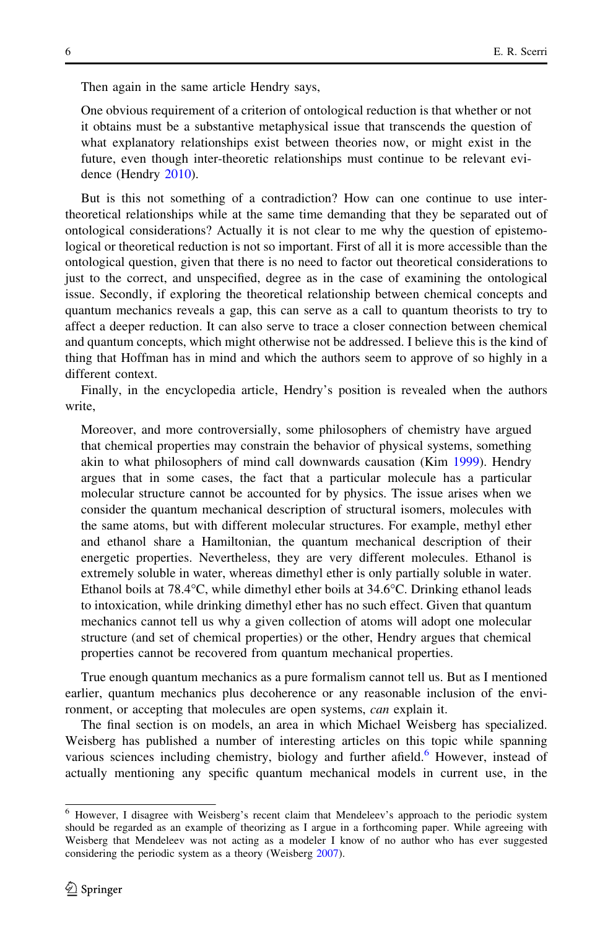Then again in the same article Hendry says,

One obvious requirement of a criterion of ontological reduction is that whether or not it obtains must be a substantive metaphysical issue that transcends the question of what explanatory relationships exist between theories now, or might exist in the future, even though inter-theoretic relationships must continue to be relevant evidence (Hendry [2010](#page-6-0)).

But is this not something of a contradiction? How can one continue to use intertheoretical relationships while at the same time demanding that they be separated out of ontological considerations? Actually it is not clear to me why the question of epistemological or theoretical reduction is not so important. First of all it is more accessible than the ontological question, given that there is no need to factor out theoretical considerations to just to the correct, and unspecified, degree as in the case of examining the ontological issue. Secondly, if exploring the theoretical relationship between chemical concepts and quantum mechanics reveals a gap, this can serve as a call to quantum theorists to try to affect a deeper reduction. It can also serve to trace a closer connection between chemical and quantum concepts, which might otherwise not be addressed. I believe this is the kind of thing that Hoffman has in mind and which the authors seem to approve of so highly in a different context.

Finally, in the encyclopedia article, Hendry's position is revealed when the authors write,

Moreover, and more controversially, some philosophers of chemistry have argued that chemical properties may constrain the behavior of physical systems, something akin to what philosophers of mind call downwards causation (Kim [1999\)](#page-6-0). Hendry argues that in some cases, the fact that a particular molecule has a particular molecular structure cannot be accounted for by physics. The issue arises when we consider the quantum mechanical description of structural isomers, molecules with the same atoms, but with different molecular structures. For example, methyl ether and ethanol share a Hamiltonian, the quantum mechanical description of their energetic properties. Nevertheless, they are very different molecules. Ethanol is extremely soluble in water, whereas dimethyl ether is only partially soluble in water. Ethanol boils at 78.4 $\degree$ C, while dimethyl ether boils at 34.6 $\degree$ C. Drinking ethanol leads to intoxication, while drinking dimethyl ether has no such effect. Given that quantum mechanics cannot tell us why a given collection of atoms will adopt one molecular structure (and set of chemical properties) or the other, Hendry argues that chemical properties cannot be recovered from quantum mechanical properties.

True enough quantum mechanics as a pure formalism cannot tell us. But as I mentioned earlier, quantum mechanics plus decoherence or any reasonable inclusion of the environment, or accepting that molecules are open systems, *can* explain it.

The final section is on models, an area in which Michael Weisberg has specialized. Weisberg has published a number of interesting articles on this topic while spanning various sciences including chemistry, biology and further afield.<sup>6</sup> However, instead of actually mentioning any specific quantum mechanical models in current use, in the

<sup>6</sup> However, I disagree with Weisberg's recent claim that Mendeleev's approach to the periodic system should be regarded as an example of theorizing as I argue in a forthcoming paper. While agreeing with Weisberg that Mendeleev was not acting as a modeler I know of no author who has ever suggested considering the periodic system as a theory (Weisberg [2007\)](#page-6-0).